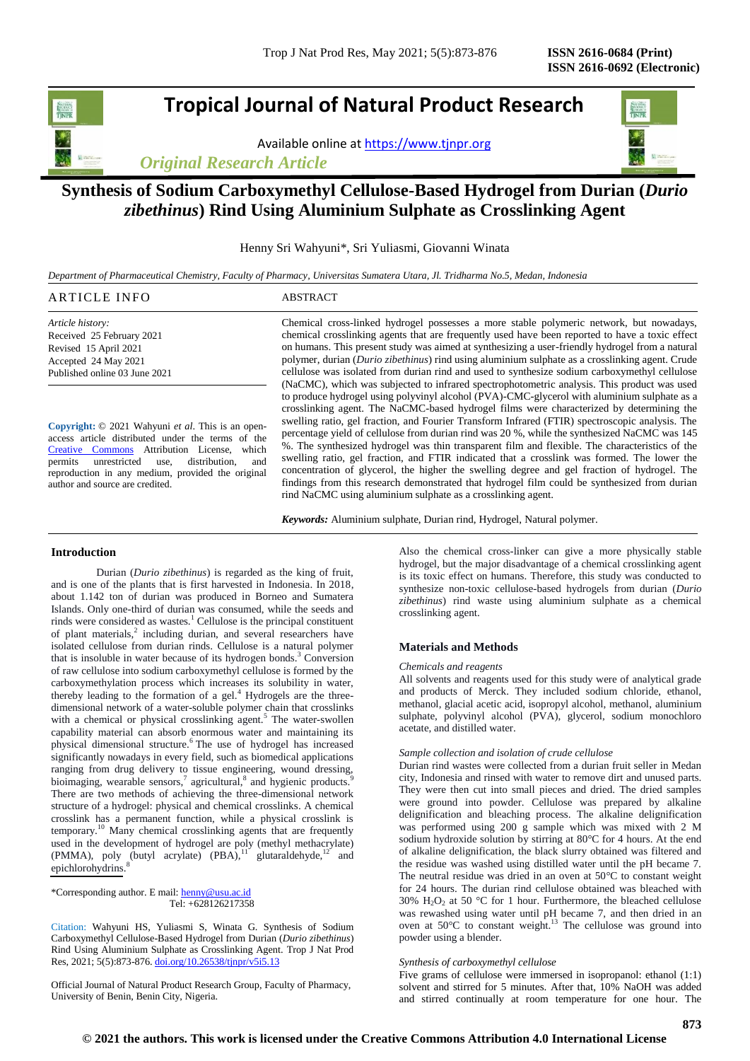# **Tropical Journal of Natural Product Research**

Available online a[t https://www.tjnpr.org](https://www.tjnpr.org/)

*Original Research Article*

# **Synthesis of Sodium Carboxymethyl Cellulose-Based Hydrogel from Durian (***Durio zibethinus***) Rind Using Aluminium Sulphate as Crosslinking Agent**

Henny Sri Wahyuni\*, Sri Yuliasmi, Giovanni Winata

*Department of Pharmaceutical Chemistry, Faculty of Pharmacy, Universitas Sumatera Utara, Jl. Tridharma No.5, Medan, Indonesia*

| ARTICLE INFO                  | ABSTRACT                                                                                        |
|-------------------------------|-------------------------------------------------------------------------------------------------|
| Article history:              | Chemical cross-linked hydrogel possesses a more stable polymeric network, but nowadays,         |
| Received 25 February 2021     | chemical crosslinking agents that are frequently used have been reported to have a toxic effect |
| Revised 15 April 2021         | on humans. This present study was aimed at synthesizing a user-friendly hydrogel from a natural |
| Accepted 24 May 2021          | polymer, durian (Durio zibethinus) rind using aluminium sulphate as a crosslinking agent. Crude |
| Published online 03 June 2021 | cellulose was isolated from durian rind and used to synthesize sodium carboxymethyl cellulose   |
|                               | (NaCMC), which was subjected to infrared spectrophotometric analysis. This product was used     |
|                               | to produce hydrogel using polyvinyl alcohol (PVA)-CMC-glycerol with aluminium sulphate as a     |

**Copyright:** © 2021 Wahyuni *et al*. This is an openaccess article distributed under the terms of the Creative [Commons](https://creativecommons.org/licenses/by/4.0/) Attribution License, which<br>permits unrestricted use, distribution, and unrestricted use, distribution, and reproduction in any medium, provided the original author and source are credited.

crosslinking agent. The NaCMC-based hydrogel films were characterized by determining the swelling ratio, gel fraction, and Fourier Transform Infrared (FTIR) spectroscopic analysis. The percentage yield of cellulose from durian rind was 20 %, while the synthesized NaCMC was 145 %. The synthesized hydrogel was thin transparent film and flexible. The characteristics of the swelling ratio, gel fraction, and FTIR indicated that a crosslink was formed. The lower the concentration of glycerol, the higher the swelling degree and gel fraction of hydrogel. The findings from this research demonstrated that hydrogel film could be synthesized from durian rind NaCMC using aluminium sulphate as a crosslinking agent.

*Keywords:* Aluminium sulphate, Durian rind, Hydrogel, Natural polymer.

# **Introduction**

Durian (*Durio zibethinus*) is regarded as the king of fruit, and is one of the plants that is first harvested in Indonesia. In 2018, about 1.142 ton of durian was produced in Borneo and Sumatera Islands. Only one-third of durian was consumed, while the seeds and rinds were considered as wastes.<sup>1</sup> Cellulose is the principal constituent of plant materials, $2$  including durian, and several researchers have isolated cellulose from durian rinds. Cellulose is a natural polymer that is insoluble in water because of its hydrogen bonds. $3$  Conversion of raw cellulose into sodium carboxymethyl cellulose is formed by the carboxymethylation process which increases its solubility in water, thereby leading to the formation of a gel.<sup>4</sup> Hydrogels are the threedimensional network of a water-soluble polymer chain that crosslinks with a chemical or physical crosslinking agent.<sup>5</sup> The water-swollen capability material can absorb enormous water and maintaining its physical dimensional structure.<sup>6</sup> The use of hydrogel has increased significantly nowadays in every field, such as biomedical applications ranging from drug delivery to tissue engineering, wound dressing, bioimaging, wearable sensors,<sup>7</sup> agricultural,<sup>8</sup> and hygienic products.<sup>9</sup> There are two methods of achieving the three-dimensional network structure of a hydrogel: physical and chemical crosslinks. A chemical crosslink has a permanent function, while a physical crosslink is temporary.<sup>10</sup> Many chemical crosslinking agents that are frequently used in the development of hydrogel are poly (methyl methacrylate) (PMMA), poly (butyl acrylate)  $(PBA)$ ,<sup>11</sup> glutaraldehyde,<sup>12</sup> and epichlorohydrins.<sup>8</sup>

\*Corresponding author. E mail: [henny@usu.ac.id](mailto:henny@usu.ac.id) Tel: +628126217358

Citation: Wahyuni HS, Yuliasmi S, Winata G. Synthesis of Sodium Carboxymethyl Cellulose-Based Hydrogel from Durian (*Durio zibethinus*) Rind Using Aluminium Sulphate as Crosslinking Agent. Trop J Nat Prod Res, 2021; 5(5):873-876[. doi.org/10.26538/tjnpr/v5i5.1](http://www.doi.org/10.26538/tjnpr/v1i4.5)3

Official Journal of Natural Product Research Group, Faculty of Pharmacy, University of Benin, Benin City, Nigeria.

Also the chemical cross-linker can give a more physically stable hydrogel, but the major disadvantage of a chemical crosslinking agent is its toxic effect on humans. Therefore, this study was conducted to synthesize non-toxic cellulose-based hydrogels from durian (*Durio zibethinus*) rind waste using aluminium sulphate as a chemical crosslinking agent.

### **Materials and Methods**

#### *Chemicals and reagents*

All solvents and reagents used for this study were of analytical grade and products of Merck. They included sodium chloride, ethanol, methanol, glacial acetic acid, isopropyl alcohol, methanol, aluminium sulphate, polyvinyl alcohol (PVA), glycerol, sodium monochloro acetate, and distilled water.

## *Sample collection and isolation of crude cellulose*

Durian rind wastes were collected from a durian fruit seller in Medan city, Indonesia and rinsed with water to remove dirt and unused parts. They were then cut into small pieces and dried. The dried samples were ground into powder. Cellulose was prepared by alkaline delignification and bleaching process. The alkaline delignification was performed using 200 g sample which was mixed with 2 M sodium hydroxide solution by stirring at 80°C for 4 hours. At the end of alkaline delignification, the black slurry obtained was filtered and the residue was washed using distilled water until the pH became 7. The neutral residue was dried in an oven at 50°C to constant weight for 24 hours. The durian rind cellulose obtained was bleached with 30%  $H_2O_2$  at 50 °C for 1 hour. Furthermore, the bleached cellulose was rewashed using water until pH became 7, and then dried in an oven at  $50^{\circ}$ C to constant weight.<sup>13</sup> The cellulose was ground into powder using a blender.

#### *Synthesis of carboxymethyl cellulose*

Five grams of cellulose were immersed in isopropanol: ethanol (1:1) solvent and stirred for 5 minutes. After that, 10% NaOH was added and stirred continually at room temperature for one hour. The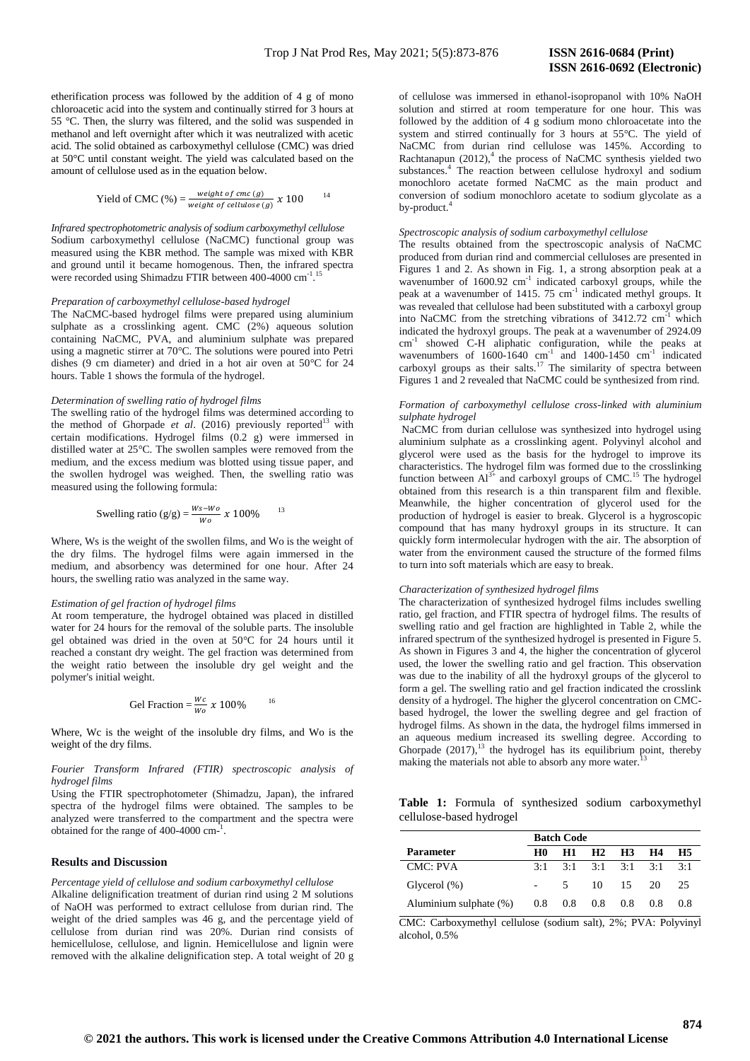etherification process was followed by the addition of 4 g of mono chloroacetic acid into the system and continually stirred for 3 hours at 55 °C. Then, the slurry was filtered, and the solid was suspended in methanol and left overnight after which it was neutralized with acetic acid. The solid obtained as carboxymethyl cellulose (CMC) was dried at 50°C until constant weight. The yield was calculated based on the amount of cellulose used as in the equation below.

Yield of CMC (%) = 
$$
\frac{weight \ of \ cmc(g)}{weight \ of \ cell (g)} \ \ \chi \ \ 100
$$

*Infrared spectrophotometric analysis of sodium carboxymethyl cellulose* Sodium carboxymethyl cellulose (NaCMC) functional group was measured using the KBR method. The sample was mixed with KBR and ground until it became homogenous. Then, the infrared spectra were recorded using Shimadzu FTIR between 400-4000 cm<sup>-1</sup>. 15

## *Preparation of carboxymethyl cellulose-based hydrogel*

The NaCMC-based hydrogel films were prepared using aluminium sulphate as a crosslinking agent. CMC (2%) aqueous solution containing NaCMC, PVA, and aluminium sulphate was prepared using a magnetic stirrer at 70°C. The solutions were poured into Petri dishes (9 cm diameter) and dried in a hot air oven at 50°C for 24 hours. Table 1 shows the formula of the hydrogel.

# *Determination of swelling ratio of hydrogel films*

The swelling ratio of the hydrogel films was determined according to the method of Ghorpade et al. (2016) previously reported<sup>13</sup> with certain modifications. Hydrogel films (0.2 g) were immersed in distilled water at 25°C. The swollen samples were removed from the medium, and the excess medium was blotted using tissue paper, and the swollen hydrogel was weighed. Then, the swelling ratio was measured using the following formula:

Swelling ratio (g/g) = 
$$
\frac{Ws - Wo}{Wo} x 100\%
$$
 <sup>13</sup>

Where, Ws is the weight of the swollen films, and Wo is the weight of the dry films. The hydrogel films were again immersed in the medium, and absorbency was determined for one hour. After 24 hours, the swelling ratio was analyzed in the same way.

#### *Estimation of gel fraction of hydrogel films*

At room temperature, the hydrogel obtained was placed in distilled water for 24 hours for the removal of the soluble parts. The insoluble gel obtained was dried in the oven at 50°C for 24 hours until it reached a constant dry weight. The gel fraction was determined from the weight ratio between the insoluble dry gel weight and the polymer's initial weight.

$$
Gel Fraction = \frac{Wc}{Wo} \times 100\%
$$

Where, Wc is the weight of the insoluble dry films, and Wo is the weight of the dry films.

#### *Fourier Transform Infrared (FTIR) spectroscopic analysis of hydrogel films*

Using the FTIR spectrophotometer (Shimadzu, Japan), the infrared spectra of the hydrogel films were obtained. The samples to be analyzed were transferred to the compartment and the spectra were obtained for the range of  $400-4000$  cm<sup>-1</sup>.

#### **Results and Discussion**

*Percentage yield of cellulose and sodium carboxymethyl cellulose* Alkaline delignification treatment of durian rind using 2 M solutions of NaOH was performed to extract cellulose from durian rind. The weight of the dried samples was 46 g, and the percentage yield of cellulose from durian rind was 20%. Durian rind consists of hemicellulose, cellulose, and lignin. Hemicellulose and lignin were removed with the alkaline delignification step. A total weight of 20 g of cellulose was immersed in ethanol-isopropanol with 10% NaOH solution and stirred at room temperature for one hour. This was followed by the addition of 4 g sodium mono chloroacetate into the system and stirred continually for 3 hours at 55°C. The yield of NaCMC from durian rind cellulose was 145%. According to Rachtanapun  $(2012)$ ,<sup>4</sup> the process of NaCMC synthesis yielded two substances.<sup>4</sup> The reaction between cellulose hydroxyl and sodium monochloro acetate formed NaCMC as the main product and conversion of sodium monochloro acetate to sodium glycolate as a by-product.

#### *Spectroscopic analysis of sodium carboxymethyl cellulose*

The results obtained from the spectroscopic analysis of NaCMC produced from durian rind and commercial celluloses are presented in Figures 1 and 2. As shown in Fig. 1, a strong absorption peak at a wavenumber of 1600.92 cm<sup>-1</sup> indicated carboxyl groups, while the peak at a wavenumber of 1415. 75 cm<sup>-1</sup> indicated methyl groups. It was revealed that cellulose had been substituted with a carboxyl group into NaCMC from the stretching vibrations of  $3412.72 \text{ cm}^{-1}$  which indicated the hydroxyl groups. The peak at a wavenumber of 2924.09 cm<sup>-1</sup> showed C-H aliphatic configuration, while the peaks at wavenumbers of  $1600-1640$  cm<sup>-1</sup> and  $1400-1450$  cm<sup>-1</sup> indicated carboxyl groups as their salts.<sup>17</sup> The similarity of spectra between Figures 1 and 2 revealed that NaCMC could be synthesized from rind.

### *Formation of carboxymethyl cellulose cross-linked with aluminium sulphate hydrogel*

NaCMC from durian cellulose was synthesized into hydrogel using aluminium sulphate as a crosslinking agent. Polyvinyl alcohol and glycerol were used as the basis for the hydrogel to improve its characteristics. The hydrogel film was formed due to the crosslinking function between  $Al^{3+}$  and carboxyl groups of CMC.<sup>15</sup> The hydrogel obtained from this research is a thin transparent film and flexible. Meanwhile, the higher concentration of glycerol used for the production of hydrogel is easier to break. Glycerol is a hygroscopic compound that has many hydroxyl groups in its structure. It can quickly form intermolecular hydrogen with the air. The absorption of water from the environment caused the structure of the formed films to turn into soft materials which are easy to break.

#### *Characterization of synthesized hydrogel films*

The characterization of synthesized hydrogel films includes swelling ratio, gel fraction, and FTIR spectra of hydrogel films. The results of swelling ratio and gel fraction are highlighted in Table 2, while the infrared spectrum of the synthesized hydrogel is presented in Figure 5. As shown in Figures 3 and 4, the higher the concentration of glycerol used, the lower the swelling ratio and gel fraction. This observation was due to the inability of all the hydroxyl groups of the glycerol to form a gel. The swelling ratio and gel fraction indicated the crosslink density of a hydrogel. The higher the glycerol concentration on CMCbased hydrogel, the lower the swelling degree and gel fraction of hydrogel films. As shown in the data, the hydrogel films immersed in an aqueous medium increased its swelling degree. According to Ghorpade  $(2017)$ ,<sup>13</sup> the hydrogel has its equilibrium point, thereby making the materials not able to absorb any more water.

|  |                          |  | Table 1: Formula of synthesized sodium carboxymethyl |
|--|--------------------------|--|------------------------------------------------------|
|  | cellulose-based hydrogel |  |                                                      |

|                        | <b>Batch Code</b> |                |                               |                  |               |     |  |
|------------------------|-------------------|----------------|-------------------------------|------------------|---------------|-----|--|
| <b>Parameter</b>       | H0                | H1             | H <sub>2</sub> H <sub>3</sub> |                  | H4            | H5  |  |
| CMC: PVA               | $3 \cdot 1$       |                | $3:1$ $3:1$ $3:1$ $3:1$       |                  |               | 3:1 |  |
| Glycerol $(\%)$        |                   | 5 <sup>7</sup> |                               | $10 \t 15 \t 20$ |               | 25  |  |
| Aluminium sulphate (%) | 0.8               | 0.8            |                               | $0.8\quad 0.8$   | $0.8^{\circ}$ | 0.8 |  |

CMC: Carboxymethyl cellulose (sodium salt), 2%; PVA: Polyvinyl alcohol, 0.5%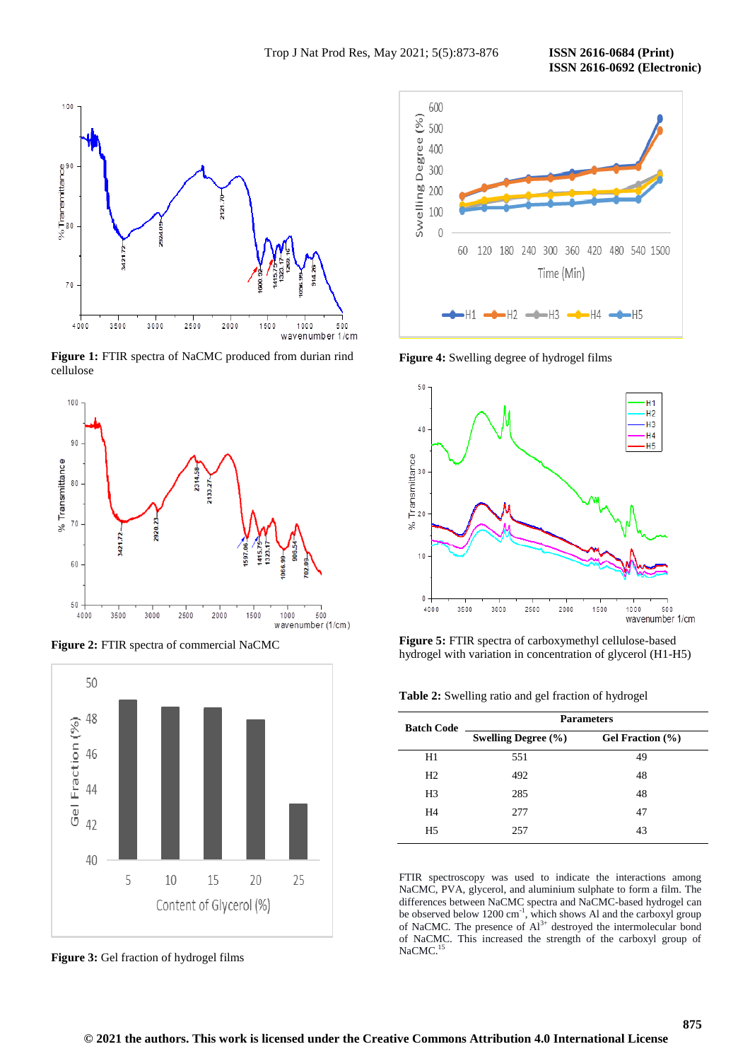**ISSN 2616-0692 (Electronic)** 



**Figure 1:** FTIR spectra of NaCMC produced from durian rind cellulose



**Figure 2:** FTIR spectra of commercial NaCMC



**Figure 3:** Gel fraction of hydrogel films



**Figure 4:** Swelling degree of hydrogel films



**Figure 5:** FTIR spectra of carboxymethyl cellulose-based hydrogel with variation in concentration of glycerol (H1-H5)

| <b>Parameters</b>       |                  |  |  |  |
|-------------------------|------------------|--|--|--|
| Swelling Degree $(\% )$ | Gel Fraction (%) |  |  |  |
| 551                     | 49               |  |  |  |
| 492                     | 48               |  |  |  |
| 285                     | 48               |  |  |  |
| 277                     | 47               |  |  |  |
| 257                     | 43               |  |  |  |
|                         |                  |  |  |  |

FTIR spectroscopy was used to indicate the interactions among NaCMC, PVA, glycerol, and aluminium sulphate to form a film. The differences between NaCMC spectra and NaCMC-based hydrogel can be observed below  $1200 \text{ cm}^{-1}$ , which shows Al and the carboxyl group of NaCMC. The presence of  $Al^{3+}$  destroyed the intermolecular bond of NaCMC. This increased the strength of the carboxyl group of NaCMC.<sup>15</sup>